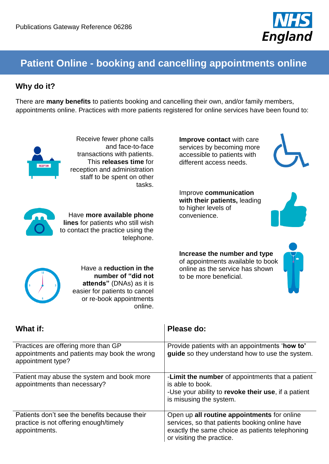

# **Patient Online - booking and cancelling appointments online**

### **Why do it?**

There are **many benefits** to patients booking and cancelling their own, and/or family members, appointments online. Practices with more patients registered for online services have been found to:



Receive fewer phone calls and face-to-face transactions with patients. This **releases time** for reception and administration staff to be spent on other tasks.



Have **more available phone lines** for patients who still wish to contact the practice using the telephone.

**Improve contact** with care services by becoming more accessible to patients with different access needs.



Improve **communication with their patients,** leading to higher levels of convenience.



**Increase the number and type** of appointments available to book online as the service has shown to be more beneficial.



|   | 12 |  |
|---|----|--|
|   |    |  |
| 9 |    |  |
|   |    |  |
|   | 6  |  |

Have a **reduction in the number of "did not attends"** (DNAs) as it is easier for patients to cancel or re-book appointments online.

| What if:                                                                                                 | Please do:                                                                                                                                                                    |
|----------------------------------------------------------------------------------------------------------|-------------------------------------------------------------------------------------------------------------------------------------------------------------------------------|
| Practices are offering more than GP<br>appointments and patients may book the wrong<br>appointment type? | Provide patients with an appointments 'how to'<br>guide so they understand how to use the system.                                                                             |
| Patient may abuse the system and book more<br>appointments than necessary?                               | -Limit the number of appointments that a patient<br>is able to book.<br>-Use your ability to revoke their use, if a patient<br>is misusing the system.                        |
| Patients don't see the benefits because their<br>practice is not offering enough/timely<br>appointments. | Open up all routine appointments for online<br>services, so that patients booking online have<br>exactly the same choice as patients telephoning<br>or visiting the practice. |